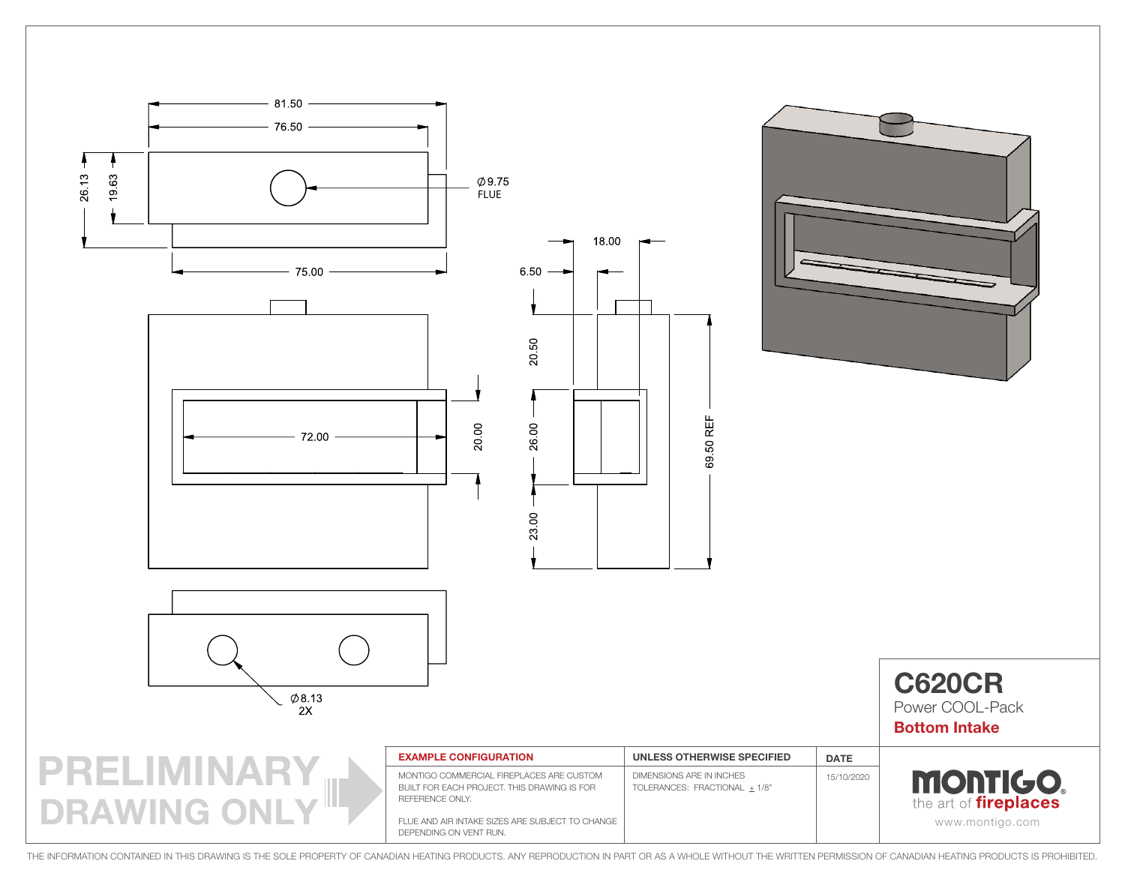

THE INFORMATION CONTAINED IN THIS DRAWING IS THE SOLE PROPERTY OF CANADIAN HEATING PRODUCTS. ANY REPRODUCTION IN PART OR AS A WHOLE WITHOUT THE WRITTEN PERMISSION OF CANADIAN HEATING PRODUCTS IS PROHIBITED.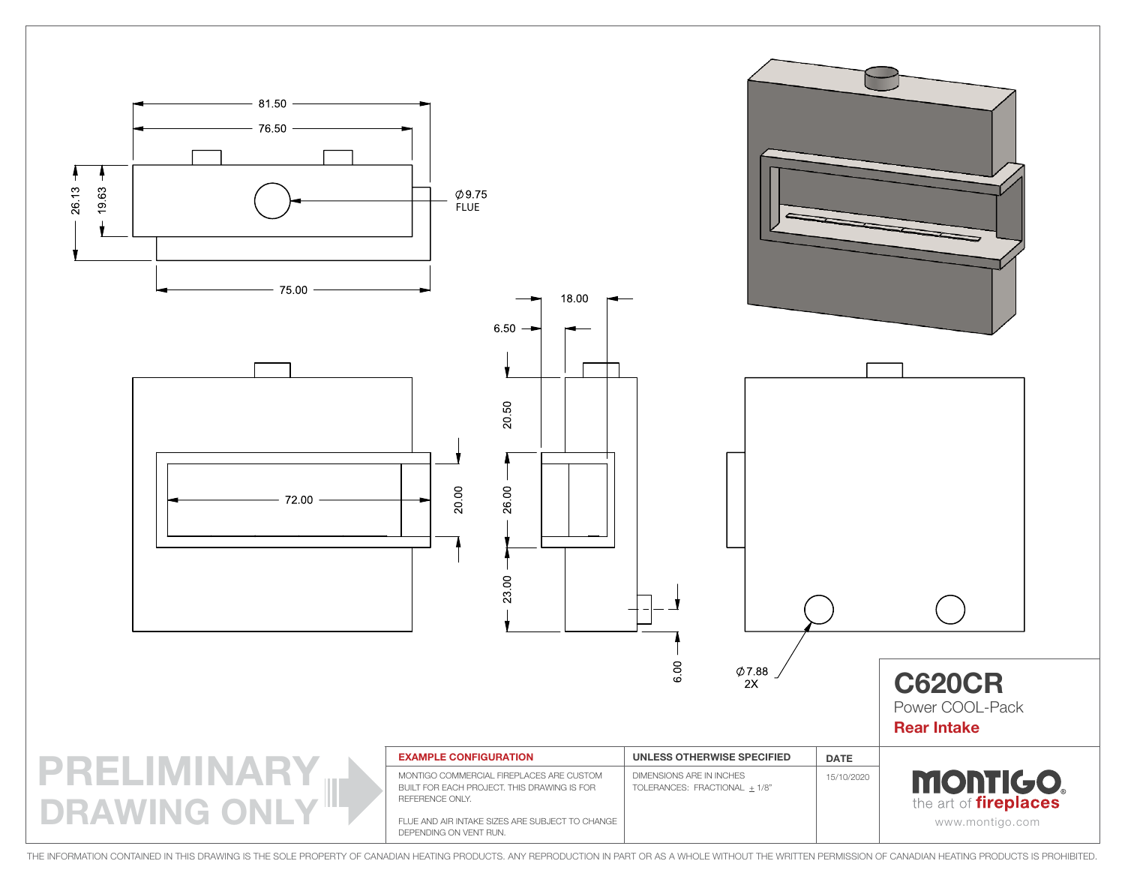

THE INFORMATION CONTAINED IN THIS DRAWING IS THE SOLE PROPERTY OF CANADIAN HEATING PRODUCTS. ANY REPRODUCTION IN PART OR AS A WHOLE WITHOUT THE WRITTEN PERMISSION OF CANADIAN HEATING PRODUCTS IS PROHIBITED.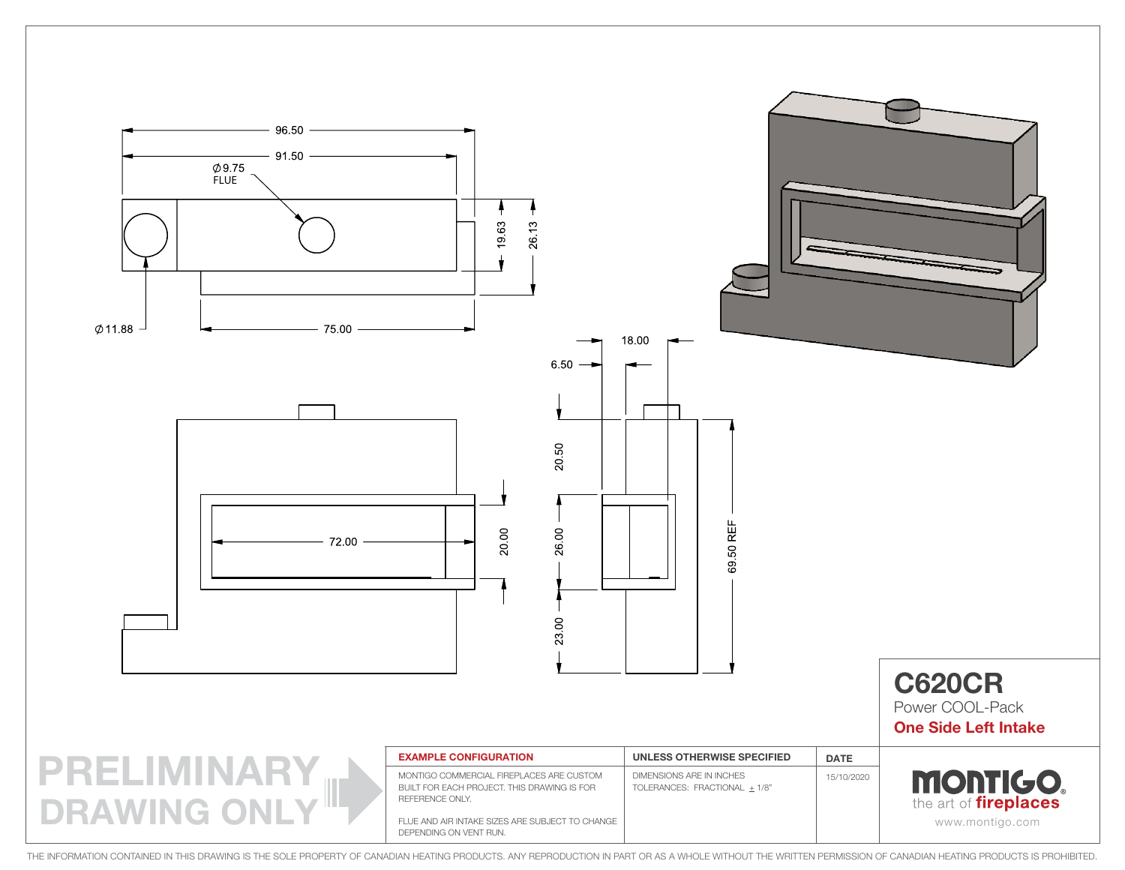

THE INFORMATION CONTAINED IN THIS DRAWING IS THE SOLE PROPERTY OF CANADIAN HEATING PRODUCTS. ANY REPRODUCTION IN PART OR AS A WHOLE WITHOUT THE WRITTEN PERMISSION OF CANADIAN HEATING PRODUCTS IS PROHIBITED.